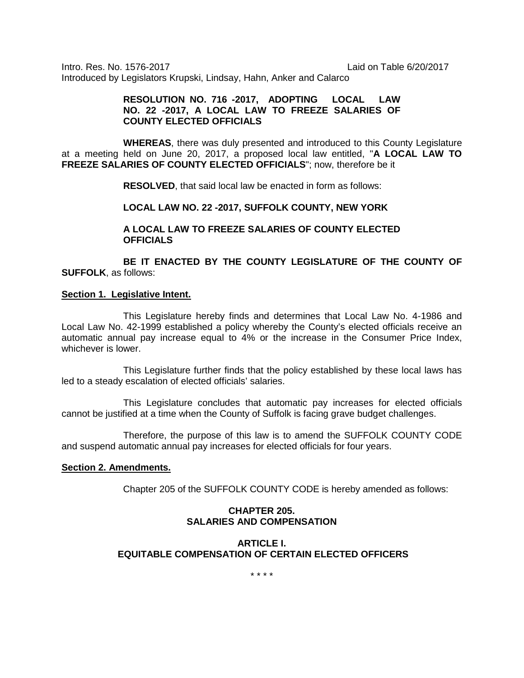Intro. Res. No. 1576-2017 Laid on Table 6/20/2017 Introduced by Legislators Krupski, Lindsay, Hahn, Anker and Calarco

### **RESOLUTION NO. 716 -2017, ADOPTING LOCAL LAW NO. 22 -2017, A LOCAL LAW TO FREEZE SALARIES OF COUNTY ELECTED OFFICIALS**

**WHEREAS**, there was duly presented and introduced to this County Legislature at a meeting held on June 20, 2017, a proposed local law entitled, "**A LOCAL LAW TO FREEZE SALARIES OF COUNTY ELECTED OFFICIALS**"; now, therefore be it

**RESOLVED**, that said local law be enacted in form as follows:

**LOCAL LAW NO. 22 -2017, SUFFOLK COUNTY, NEW YORK**

**A LOCAL LAW TO FREEZE SALARIES OF COUNTY ELECTED OFFICIALS**

**BE IT ENACTED BY THE COUNTY LEGISLATURE OF THE COUNTY OF SUFFOLK**, as follows:

#### **Section 1. Legislative Intent.**

This Legislature hereby finds and determines that Local Law No. 4-1986 and Local Law No. 42-1999 established a policy whereby the County's elected officials receive an automatic annual pay increase equal to 4% or the increase in the Consumer Price Index, whichever is lower.

This Legislature further finds that the policy established by these local laws has led to a steady escalation of elected officials' salaries.

This Legislature concludes that automatic pay increases for elected officials cannot be justified at a time when the County of Suffolk is facing grave budget challenges.

Therefore, the purpose of this law is to amend the SUFFOLK COUNTY CODE and suspend automatic annual pay increases for elected officials for four years.

#### **Section 2. Amendments.**

Chapter 205 of the SUFFOLK COUNTY CODE is hereby amended as follows:

# **CHAPTER 205. SALARIES AND COMPENSATION**

# **ARTICLE I. EQUITABLE COMPENSATION OF CERTAIN ELECTED OFFICERS**

\* \* \* \*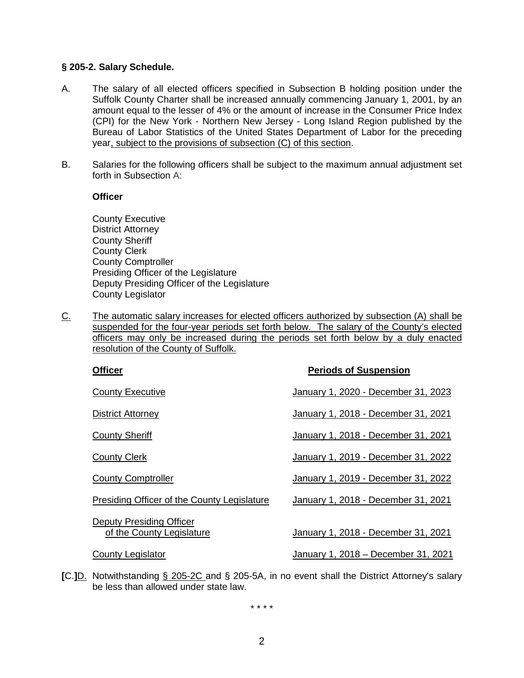### **§ 205-2. Salary Schedule.**

- A. The salary of all elected officers specified in Subsection B holding position under the Suffolk County Charter shall be increased annually commencing January 1, 2001, by an amount equal to the lesser of 4% or the amount of increase in the Consumer Price Index (CPI) for the New York - Northern New Jersey - Long Island Region published by the Bureau of Labor Statistics of the United States Department of Labor for the preceding year, subject to the provisions of subsection (C) of this section.
- B. Salaries for the following officers shall be subject to the maximum annual adjustment set forth in Subsection [A:](http://ecode360.com/14941335%2314941335)

### **Officer**

County Executive District Attorney County Sheriff County Clerk County Comptroller Presiding Officer of the Legislature Deputy Presiding Officer of the Legislature County Legislator

C. The automatic salary increases for elected officers authorized by subsection (A) shall be suspended for the four-year periods set forth below. The salary of the County's elected officers may only be increased during the periods set forth below by a duly enacted resolution of the County of Suffolk.

| <b>Officer</b>                                               | <b>Periods of Suspension</b>        |
|--------------------------------------------------------------|-------------------------------------|
| County Executive                                             | January 1, 2020 - December 31, 2023 |
| <b>District Attorney</b>                                     | January 1, 2018 - December 31, 2021 |
| <b>County Sheriff</b>                                        | January 1, 2018 - December 31, 2021 |
| <b>County Clerk</b>                                          | January 1, 2019 - December 31, 2022 |
| <b>County Comptroller</b>                                    | January 1, 2019 - December 31, 2022 |
| Presiding Officer of the County Legislature                  | January 1, 2018 - December 31, 2021 |
| <b>Deputy Presiding Officer</b><br>of the County Legislature | January 1, 2018 - December 31, 2021 |
| County Legislator                                            | January 1, 2018 - December 31, 2021 |
|                                                              |                                     |

**[**C.**]**D. Notwithstanding § 205-2C and § 205-5A, in no event shall the District Attorney's salary be less than allowed under state law.

\* \* \* \*